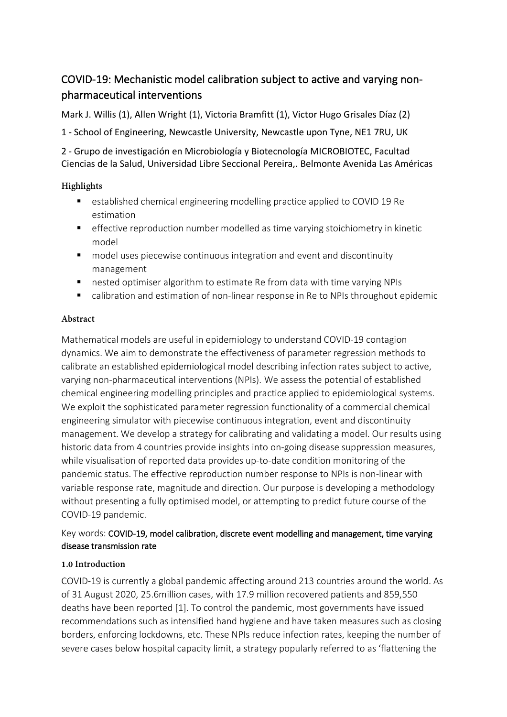# COVID-19: Mechanistic model calibration subject to active and varying nonpharmaceutical interventions

Mark J. Willis (1), Allen Wright (1), Victoria Bramfitt (1), Victor Hugo Grisales Díaz (2)

1 - School of Engineering, Newcastle University, Newcastle upon Tyne, NE1 7RU, UK

2 - Grupo de investigación en Microbiología y Biotecnología MICROBIOTEC, Facultad Ciencias de la Salud, Universidad Libre Seccional Pereira,. Belmonte Avenida Las Américas

# **Highlights**

- established chemical engineering modelling practice applied to COVID 19 Re estimation
- effective reproduction number modelled as time varying stoichiometry in kinetic model
- model uses piecewise continuous integration and event and discontinuity management
- **nested optimiser algorithm to estimate Re from data with time varying NPIs**
- calibration and estimation of non-linear response in Re to NPIs throughout epidemic

### **Abstract**

Mathematical models are useful in epidemiology to understand COVID-19 contagion dynamics. We aim to demonstrate the effectiveness of parameter regression methods to calibrate an established epidemiological model describing infection rates subject to active, varying non-pharmaceutical interventions (NPIs). We assess the potential of established chemical engineering modelling principles and practice applied to epidemiological systems. We exploit the sophisticated parameter regression functionality of a commercial chemical engineering simulator with piecewise continuous integration, event and discontinuity management. We develop a strategy for calibrating and validating a model. Our results using historic data from 4 countries provide insights into on-going disease suppression measures, while visualisation of reported data provides up-to-date condition monitoring of the pandemic status. The effective reproduction number response to NPIs is non-linear with variable response rate, magnitude and direction. Our purpose is developing a methodology without presenting a fully optimised model, or attempting to predict future course of the COVID-19 pandemic.

# Key words: COVID-19, model calibration, discrete event modelling and management, time varying disease transmission rate

### **1.0 Introduction**

COVID-19 is currently a global pandemic affecting around 213 countries around the world. As of 31 August 2020, 25.6million cases, with 17.9 million recovered patients and 859,550 deaths have been reported [1]. To control the pandemic, most governments have issued recommendations such as intensified hand hygiene and have taken measures such as closing borders, enforcing lockdowns, etc. These NPIs reduce infection rates, keeping the number of severe cases below hospital capacity limit, a strategy popularly referred to as 'flattening the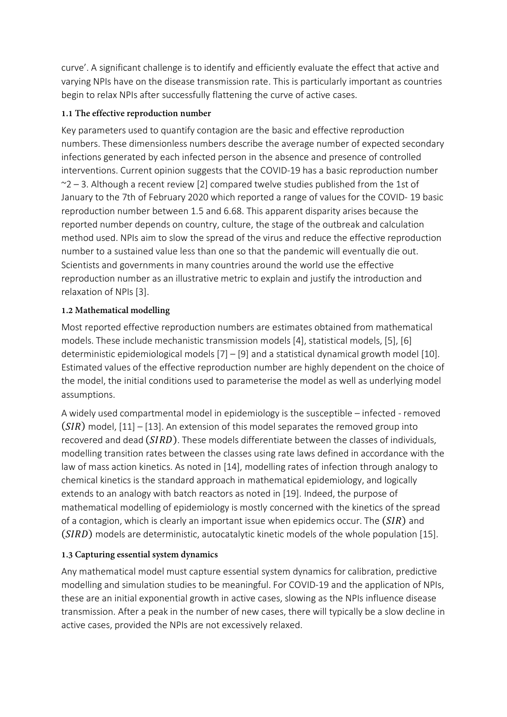curve'. A significant challenge is to identify and efficiently evaluate the effect that active and varying NPIs have on the disease transmission rate. This is particularly important as countries begin to relax NPIs after successfully flattening the curve of active cases.

# **1.1 The effective reproduction number**

Key parameters used to quantify contagion are the basic and effective reproduction numbers. These dimensionless numbers describe the average number of expected secondary infections generated by each infected person in the absence and presence of controlled interventions. Current opinion suggests that the COVID-19 has a basic reproduction number  $\sim$  2 – 3. Although a recent review [2] compared twelve studies published from the 1st of January to the 7th of February 2020 which reported a range of values for the COVID- 19 basic reproduction number between 1.5 and 6.68. This apparent disparity arises because the reported number depends on country, culture, the stage of the outbreak and calculation method used. NPIs aim to slow the spread of the virus and reduce the effective reproduction number to a sustained value less than one so that the pandemic will eventually die out. Scientists and governments in many countries around the world use the effective reproduction number as an illustrative metric to explain and justify the introduction and relaxation of NPIs [3].

# **1.2 Mathematical modelling**

Most reported effective reproduction numbers are estimates obtained from mathematical models. These include mechanistic transmission models [4], statistical models, [5], [6] deterministic epidemiological models [7] – [9] and a statistical dynamical growth model [10]. Estimated values of the effective reproduction number are highly dependent on the choice of the model, the initial conditions used to parameterise the model as well as underlying model assumptions.

A widely used compartmental model in epidemiology is the susceptible – infected - removed  $(SIR)$  model,  $[11] - [13]$ . An extension of this model separates the removed group into recovered and dead  $(SIRD)$ . These models differentiate between the classes of individuals, modelling transition rates between the classes using rate laws defined in accordance with the law of mass action kinetics. As noted in [14], modelling rates of infection through analogy to chemical kinetics is the standard approach in mathematical epidemiology, and logically extends to an analogy with batch reactors as noted in [19]. Indeed, the purpose of mathematical modelling of epidemiology is mostly concerned with the kinetics of the spread of a contagion, which is clearly an important issue when epidemics occur. The  $(SIR)$  and  $(SIRD)$  models are deterministic, autocatalytic kinetic models of the whole population [15].

# **1.3 Capturing essential system dynamics**

Any mathematical model must capture essential system dynamics for calibration, predictive modelling and simulation studies to be meaningful. For COVID-19 and the application of NPIs, these are an initial exponential growth in active cases, slowing as the NPIs influence disease transmission. After a peak in the number of new cases, there will typically be a slow decline in active cases, provided the NPIs are not excessively relaxed.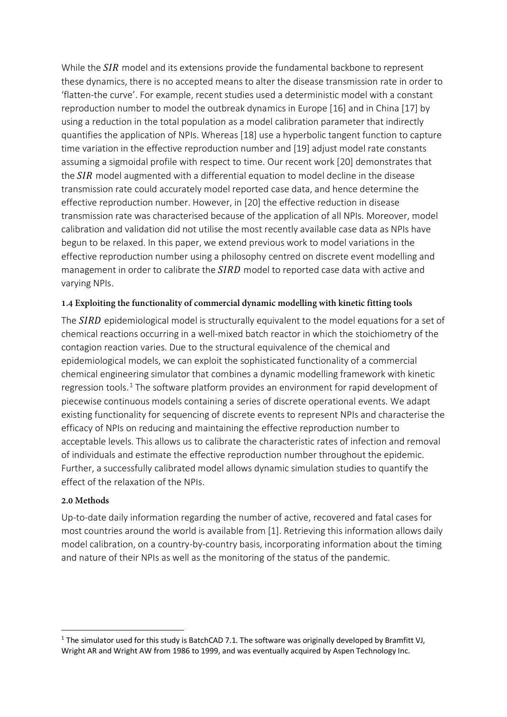While the  $SIR$  model and its extensions provide the fundamental backbone to represent these dynamics, there is no accepted means to alter the disease transmission rate in order to 'flatten-the curve'. For example, recent studies used a deterministic model with a constant reproduction number to model the outbreak dynamics in Europe [16] and in China [17] by using a reduction in the total population as a model calibration parameter that indirectly quantifies the application of NPIs. Whereas [18] use a hyperbolic tangent function to capture time variation in the effective reproduction number and [19] adjust model rate constants assuming a sigmoidal profile with respect to time. Our recent work [20] demonstrates that the  $SIR$  model augmented with a differential equation to model decline in the disease transmission rate could accurately model reported case data, and hence determine the effective reproduction number. However, in [20] the effective reduction in disease transmission rate was characterised because of the application of all NPIs. Moreover, model calibration and validation did not utilise the most recently available case data as NPIs have begun to be relaxed. In this paper, we extend previous work to model variations in the effective reproduction number using a philosophy centred on discrete event modelling and management in order to calibrate the  $SIRD$  model to reported case data with active and varying NPIs.

#### **1.4 Exploiting the functionality of commercial dynamic modelling with kinetic fitting tools**

The SIRD epidemiological model is structurally equivalent to the model equations for a set of chemical reactions occurring in a well-mixed batch reactor in which the stoichiometry of the contagion reaction varies. Due to the structural equivalence of the chemical and epidemiological models, we can exploit the sophisticated functionality of a commercial chemical engineering simulator that combines a dynamic modelling framework with kinetic regression tools.<sup>[1](#page-2-0)</sup> The software platform provides an environment for rapid development of piecewise continuous models containing a series of discrete operational events. We adapt existing functionality for sequencing of discrete events to represent NPIs and characterise the efficacy of NPIs on reducing and maintaining the effective reproduction number to acceptable levels. This allows us to calibrate the characteristic rates of infection and removal of individuals and estimate the effective reproduction number throughout the epidemic. Further, a successfully calibrated model allows dynamic simulation studies to quantify the effect of the relaxation of the NPIs.

#### **2.0 Methods**

Up-to-date daily information regarding the number of active, recovered and fatal cases for most countries around the world is available from [1]. Retrieving this information allows daily model calibration, on a country-by-country basis, incorporating information about the timing and nature of their NPIs as well as the monitoring of the status of the pandemic.

<span id="page-2-0"></span><sup>&</sup>lt;sup>1</sup> The simulator used for this study is BatchCAD 7.1. The software was originally developed by Bramfitt VJ, Wright AR and Wright AW from 1986 to 1999, and was eventually acquired by Aspen Technology Inc.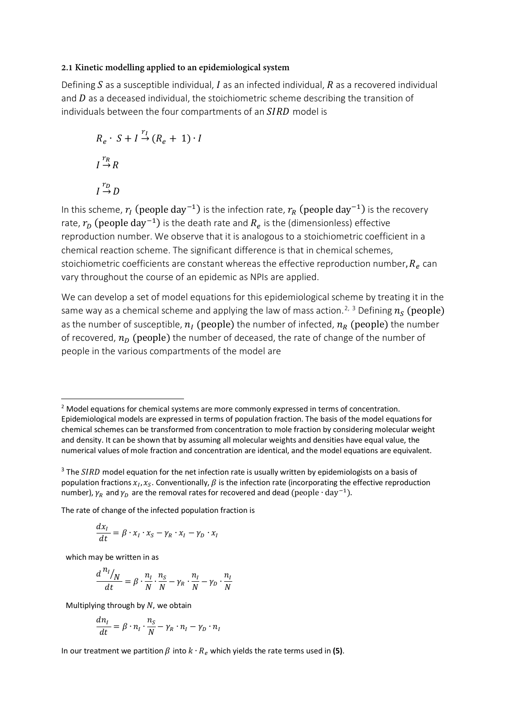#### **2.1 Kinetic modelling applied to an epidemiological system**

Defining  $S$  as a susceptible individual,  $I$  as an infected individual,  $R$  as a recovered individual and  $D$  as a deceased individual, the stoichiometric scheme describing the transition of individuals between the four compartments of an  $SIRD$  model is

$$
R_e \cdot S + I \stackrel{r_I}{\rightarrow} (R_e + 1) \cdot I
$$
  

$$
I \stackrel{r_R}{\rightarrow} R
$$
  

$$
I \stackrel{r_D}{\rightarrow} D
$$

In this scheme,  $r_I$  (people day<sup>-1</sup>) is the infection rate,  $r_R$  (people day<sup>-1</sup>) is the recovery rate,  $r_D$  (people day<sup>-1</sup>) is the death rate and  $R_e$  is the (dimensionless) effective reproduction number. We observe that it is analogous to a stoichiometric coefficient in a chemical reaction scheme. The significant difference is that in chemical schemes, stoichiometric coefficients are constant whereas the effective reproduction number,  $R<sub>e</sub>$  can vary throughout the course of an epidemic as NPIs are applied.

We can develop a set of model equations for this epidemiological scheme by treating it in the same way as a chemical scheme and applying the law of mass action.<sup>[2,](#page-3-0) [3](#page-3-1)</sup> Defining  $n_{\mathcal{S}}$  (people) as the number of susceptible,  $n_l$  (people) the number of infected,  $n_R$  (people) the number of recovered,  $n_D$  (people) the number of deceased, the rate of change of the number of people in the various compartments of the model are

The rate of change of the infected population fraction is

$$
\frac{dx_I}{dt} = \beta \cdot x_I \cdot x_S - \gamma_R \cdot x_I - \gamma_D \cdot x_I
$$

which may be written in as

$$
\frac{d^{n_l}/N}{dt} = \beta \cdot \frac{n_l}{N} \cdot \frac{n_S}{N} - \gamma_R \cdot \frac{n_l}{N} - \gamma_D \cdot \frac{n_l}{N}
$$

Multiplying through by  $N$ , we obtain

$$
\frac{dn_I}{dt} = \beta \cdot n_I \cdot \frac{n_S}{N} - \gamma_R \cdot n_I - \gamma_D \cdot n_I
$$

In our treatment we partition  $\beta$  into  $k \cdot R_e$  which yields the rate terms used in (5).

<span id="page-3-0"></span> $<sup>2</sup>$  Model equations for chemical systems are more commonly expressed in terms of concentration.</sup> Epidemiological models are expressed in terms of population fraction. The basis of the model equations for chemical schemes can be transformed from concentration to mole fraction by considering molecular weight and density. It can be shown that by assuming all molecular weights and densities have equal value, the numerical values of mole fraction and concentration are identical, and the model equations are equivalent.

<span id="page-3-1"></span> $3$  The SIRD model equation for the net infection rate is usually written by epidemiologists on a basis of population fractions  $x_i$ ,  $x_s$ . Conventionally,  $\beta$  is the infection rate (incorporating the effective reproduction number),  $\gamma_R$  and  $\gamma_D$  are the removal rates for recovered and dead (people  $\cdot$  day<sup>-1</sup>).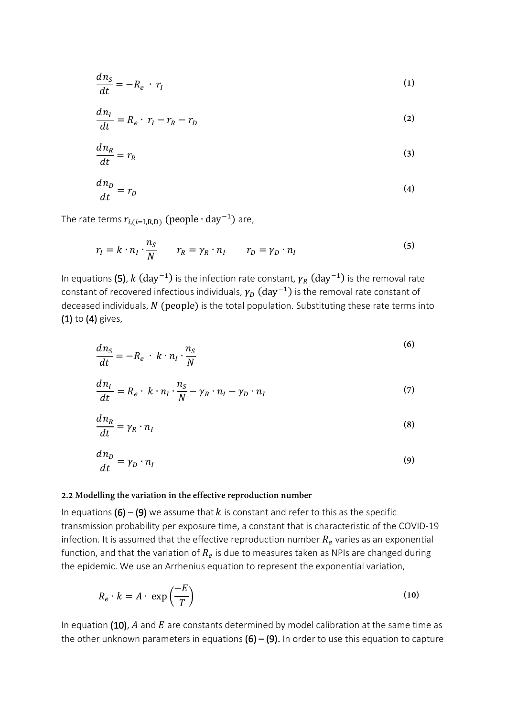$$
\frac{dn_S}{dt} = -R_e \cdot r_l \tag{1}
$$

$$
\frac{dn_I}{dt} = R_e \cdot r_I - r_R - r_D \tag{2}
$$

$$
\frac{dn_R}{dt} = r_R \tag{3}
$$

$$
\frac{dn_D}{dt} = r_D \tag{4}
$$

The rate terms  $r_{i,(i=1,\text{R,D})}$  (people  $\cdot$  day<sup>-1</sup>) are,

$$
r_I = k \cdot n_I \cdot \frac{n_S}{N} \qquad r_R = \gamma_R \cdot n_I \qquad r_D = \gamma_D \cdot n_I \tag{5}
$$

In equations (5),  $k$  (day<sup>-1</sup>) is the infection rate constant,  $\gamma_R$  (day<sup>-1</sup>) is the removal rate constant of recovered infectious individuals,  $\gamma_D$  (day<sup>-1</sup>) is the removal rate constant of deceased individuals,  $N$  (people) is the total population. Substituting these rate terms into (1) to (4) gives,

$$
\frac{dn_S}{dt} = -R_e + k \cdot n_I \cdot \frac{n_S}{N}
$$
\n(6)

$$
\frac{dn_I}{dt} = R_e \cdot k \cdot n_I \cdot \frac{n_S}{N} - \gamma_R \cdot n_I - \gamma_D \cdot n_I \tag{7}
$$

$$
\frac{dn_R}{dt} = \gamma_R \cdot n_I \tag{8}
$$

$$
\frac{dn_D}{dt} = \gamma_D \cdot n_I \tag{9}
$$

#### **2.2 Modelling the variation in the effective reproduction number**

In equations (6) – (9) we assume that k is constant and refer to this as the specific transmission probability per exposure time, a constant that is characteristic of the COVID-19 infection. It is assumed that the effective reproduction number  $R_e$  varies as an exponential function, and that the variation of  $R_e$  is due to measures taken as NPIs are changed during the epidemic. We use an Arrhenius equation to represent the exponential variation,

$$
R_e \cdot k = A \cdot \exp\left(\frac{-E}{T}\right) \tag{10}
$$

In equation (10),  $A$  and  $E$  are constants determined by model calibration at the same time as the other unknown parameters in equations  $(6) - (9)$ . In order to use this equation to capture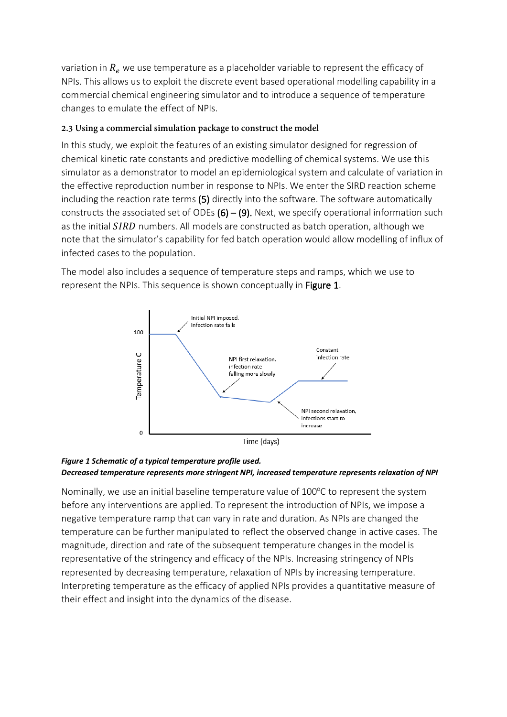variation in  $R_e$  we use temperature as a placeholder variable to represent the efficacy of NPIs. This allows us to exploit the discrete event based operational modelling capability in a commercial chemical engineering simulator and to introduce a sequence of temperature changes to emulate the effect of NPIs.

## **2.3 Using a commercial simulation package to construct the model**

In this study, we exploit the features of an existing simulator designed for regression of chemical kinetic rate constants and predictive modelling of chemical systems. We use this simulator as a demonstrator to model an epidemiological system and calculate of variation in the effective reproduction number in response to NPIs. We enter the SIRD reaction scheme including the reaction rate terms (5) directly into the software. The software automatically constructs the associated set of ODEs  $(6) - (9)$ . Next, we specify operational information such as the initial SIRD numbers. All models are constructed as batch operation, although we note that the simulator's capability for fed batch operation would allow modelling of influx of infected cases to the population.

The model also includes a sequence of temperature steps and ramps, which we use to represent the NPIs. This sequence is shown conceptually in Figure 1.



### *Figure 1 Schematic of a typical temperature profile used. Decreased temperature represents more stringent NPI, increased temperature represents relaxation of NPI*

Nominally, we use an initial baseline temperature value of 100°C to represent the system before any interventions are applied. To represent the introduction of NPIs, we impose a negative temperature ramp that can vary in rate and duration. As NPIs are changed the temperature can be further manipulated to reflect the observed change in active cases. The magnitude, direction and rate of the subsequent temperature changes in the model is representative of the stringency and efficacy of the NPIs. Increasing stringency of NPIs represented by decreasing temperature, relaxation of NPIs by increasing temperature. Interpreting temperature as the efficacy of applied NPIs provides a quantitative measure of their effect and insight into the dynamics of the disease.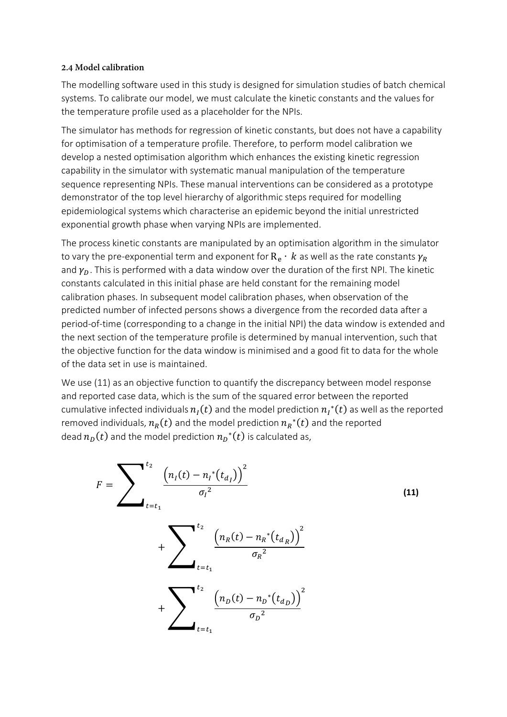#### **2.4 Model calibration**

The modelling software used in this study is designed for simulation studies of batch chemical systems. To calibrate our model, we must calculate the kinetic constants and the values for the temperature profile used as a placeholder for the NPIs.

The simulator has methods for regression of kinetic constants, but does not have a capability for optimisation of a temperature profile. Therefore, to perform model calibration we develop a nested optimisation algorithm which enhances the existing kinetic regression capability in the simulator with systematic manual manipulation of the temperature sequence representing NPIs. These manual interventions can be considered as a prototype demonstrator of the top level hierarchy of algorithmic steps required for modelling epidemiological systems which characterise an epidemic beyond the initial unrestricted exponential growth phase when varying NPIs are implemented.

The process kinetic constants are manipulated by an optimisation algorithm in the simulator to vary the pre-exponential term and exponent for  $R_e \cdot k$  as well as the rate constants  $\gamma_R$ and  $\gamma_D$ . This is performed with a data window over the duration of the first NPI. The kinetic constants calculated in this initial phase are held constant for the remaining model calibration phases. In subsequent model calibration phases, when observation of the predicted number of infected persons shows a divergence from the recorded data after a period-of-time (corresponding to a change in the initial NPI) the data window is extended and the next section of the temperature profile is determined by manual intervention, such that the objective function for the data window is minimised and a good fit to data for the whole of the data set in use is maintained.

We use (11) as an objective function to quantify the discrepancy between model response and reported case data, which is the sum of the squared error between the reported cumulative infected individuals  $n_{\mathit{I}}(t)$  and the model prediction  $n_{\mathit{I}}^*(t)$  as well as the reported removed individuals,  $n_R(t)$  and the model prediction  ${n_R}^{\ast}(t)$  and the reported dead  $n_D(t)$  and the model prediction  ${n_D}^\ast(t)$  is calculated as,

$$
F = \sum_{t=t_1}^{t_2} \frac{\left(n_I(t) - n_I^*(t_{d_I})\right)^2}{\sigma_I^2} + \sum_{t=t_1}^{t_2} \frac{\left(n_R(t) - n_R^*(t_{d_R})\right)^2}{\sigma_R^2} + \sum_{t=t_1}^{t_2} \frac{\left(n_D(t) - n_D^*(t_{d_D})\right)^2}{\sigma_D^2}
$$
\n(11)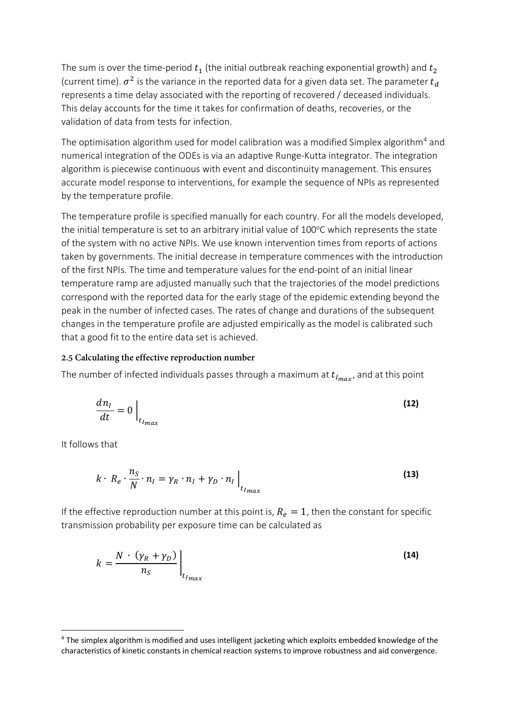The sum is over the time-period  $t_1$  (the initial outbreak reaching exponential growth) and  $t_2$ (current time).  $\sigma^2$  is the variance in the reported data for a given data set. The parameter  $t_d$ represents a time delay associated with the reporting of recovered / deceased individuals. This delay accounts for the time it takes for confirmation of deaths, recoveries, or the validation of data from tests for infection.

The optimisation algorithm used for model calibration was a modified Simplex algorithm<sup>[4](#page-7-0)</sup> and numerical integration of the ODEs is via an adaptive Runge-Kutta integrator. The integration algorithm is piecewise continuous with event and discontinuity management. This ensures accurate model response to interventions, for example the sequence of NPIs as represented by the temperature profile.

The temperature profile is specified manually for each country. For all the models developed, the initial temperature is set to an arbitrary initial value of 100°C which represents the state of the system with no active NPIs. We use known intervention times from reports of actions taken by governments. The initial decrease in temperature commences with the introduction of the first NPIs. The time and temperature values for the end-point of an initial linear temperature ramp are adjusted manually such that the trajectories of the model predictions correspond with the reported data for the early stage of the epidemic extending beyond the peak in the number of infected cases. The rates of change and durations of the subsequent changes in the temperature profile are adjusted empirically as the model is calibrated such that a good fit to the entire data set is achieved.

#### **2.5 Calculating the effective reproduction number**

The number of infected individuals passes through a maximum at  $t_{Imax}$ , and at this point

$$
\frac{dn_I}{dt} = 0 \Big|_{t_{I_{max}}} \tag{12}
$$

It follows that

$$
k \cdot R_e \cdot \frac{n_S}{N} \cdot n_I = \gamma_R \cdot n_I + \gamma_D \cdot n_I \Big|_{t_{I_{max}}} \tag{13}
$$

If the effective reproduction number at this point is,  $R_e = 1$ , then the constant for specific transmission probability per exposure time can be calculated as

$$
k = \frac{N \cdot (\gamma_R + \gamma_D)}{n_S} \bigg|_{t_{I_{max}}} \tag{14}
$$

<span id="page-7-0"></span><sup>4</sup> The simplex algorithm is modified and uses intelligent jacketing which exploits embedded knowledge of the characteristics of kinetic constants in chemical reaction systems to improve robustness and aid convergence.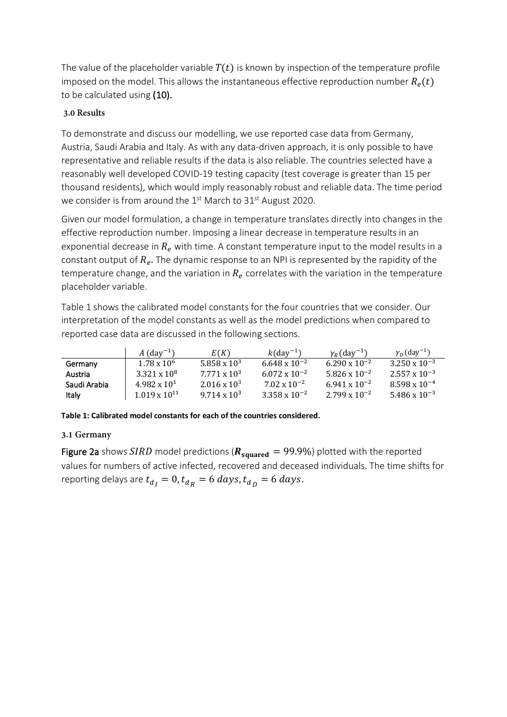The value of the placeholder variable  $T(t)$  is known by inspection of the temperature profile imposed on the model. This allows the instantaneous effective reproduction number  $R_e(t)$ to be calculated using (10).

# **3.0 Results**

To demonstrate and discuss our modelling, we use reported case data from Germany, Austria, Saudi Arabia and Italy. As with any data-driven approach, it is only possible to have representative and reliable results if the data is also reliable. The countries selected have a reasonably well developed COVID-19 testing capacity (test coverage is greater than 15 per thousand residents), which would imply reasonably robust and reliable data. The time period we consider is from around the 1<sup>st</sup> March to 31<sup>st</sup> August 2020.

Given our model formulation, a change in temperature translates directly into changes in the effective reproduction number. Imposing a linear decrease in temperature results in an exponential decrease in  $R_e$  with time. A constant temperature input to the model results in a constant output of  $R_e$ . The dynamic response to an NPI is represented by the rapidity of the temperature change, and the variation in  $R_e$  correlates with the variation in the temperature placeholder variable.

Table 1 shows the calibrated model constants for the four countries that we consider. Our interpretation of the model constants as well as the model predictions when compared to reported case data are discussed in the following sections.

|              | A $(day^{-1})$         | E(K)                | $k$ (dav <sup>-1</sup> ) | $v_p$ (day <sup>-1</sup> ) | $\gamma_D$ (day <sup>-1</sup> ) |
|--------------|------------------------|---------------------|--------------------------|----------------------------|---------------------------------|
| Germany      | $1.78 \times 10^6$     | $5.858 \times 10^3$ | $6.648 \times 10^{-2}$   | $6.290 \times 10^{-2}$     | $3.250 \times 10^{-3}$          |
| Austria      | $3.321 \times 10^8$    | $7.771 \times 10^3$ | $6.072 \times 10^{-2}$   | $5.826 \times 10^{-2}$     | $2.557 \times 10^{-3}$          |
| Saudi Arabia | $4.982 \times 10^{1}$  | $2.016 \times 10^3$ | $7.02 \times 10^{-2}$    | $6.941 \times 10^{-2}$     | $8.598 \times 10^{-4}$          |
| Italy        | $1.019 \times 10^{11}$ | $9.714 \times 10^3$ | $3.358 \times 10^{-2}$   | $2.799 \times 10^{-2}$     | $5.486 \times 10^{-3}$          |

#### **Table 1: Calibrated model constants for each of the countries considered.**

### **3.1 Germany**

Figure 2a shows SIRD model predictions ( $R_{squared} = 99.9\%$ ) plotted with the reported values for numbers of active infected, recovered and deceased individuals. The time shifts for reporting delays are  $t_{d_I} = 0$ ,  $t_{d_R} = 6$  days,  $t_{d_D} = 6$  days.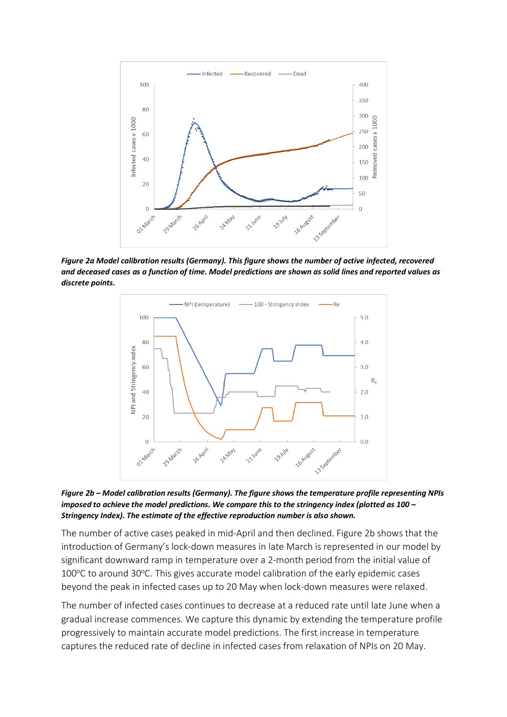

*Figure 2a Model calibration results (Germany). This figure shows the number of active infected, recovered and deceased cases as a function of time. Model predictions are shown as solid lines and reported values as discrete points.*



*Figure 2b – Model calibration results (Germany). The figure shows the temperature profile representing NPIs imposed to achieve the model predictions. We compare this to the stringency index (plotted as 100 – Stringency Index). The estimate of the effective reproduction number is also shown.*

The number of active cases peaked in mid-April and then declined. Figure 2b shows that the introduction of Germany's lock-down measures in late March is represented in our model by significant downward ramp in temperature over a 2-month period from the initial value of  $100^{\circ}$ C to around 30 $^{\circ}$ C. This gives accurate model calibration of the early epidemic cases beyond the peak in infected cases up to 20 May when lock-down measures were relaxed.

The number of infected cases continues to decrease at a reduced rate until late June when a gradual increase commences. We capture this dynamic by extending the temperature profile progressively to maintain accurate model predictions. The first increase in temperature captures the reduced rate of decline in infected cases from relaxation of NPIs on 20 May.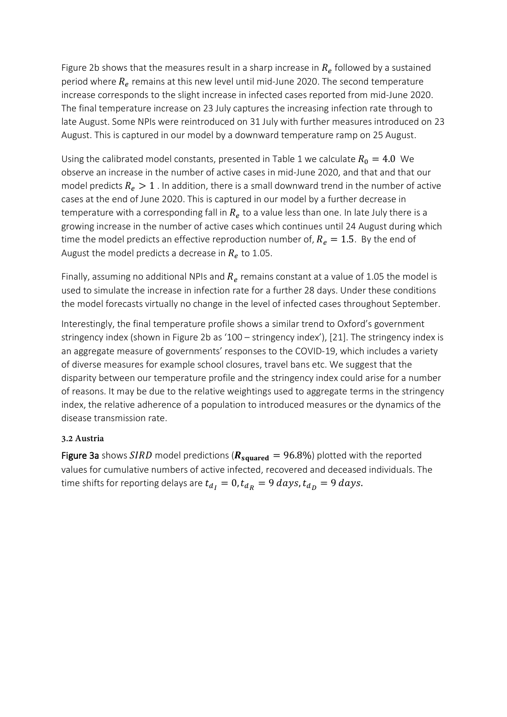Figure 2b shows that the measures result in a sharp increase in  $R_e$  followed by a sustained period where  $R_e$  remains at this new level until mid-June 2020. The second temperature increase corresponds to the slight increase in infected cases reported from mid-June 2020. The final temperature increase on 23 July captures the increasing infection rate through to late August. Some NPIs were reintroduced on 31 July with further measures introduced on 23 August. This is captured in our model by a downward temperature ramp on 25 August.

Using the calibrated model constants, presented in Table 1 we calculate  $R_0 = 4.0$  We observe an increase in the number of active cases in mid-June 2020, and that and that our model predicts  $R_e > 1$ . In addition, there is a small downward trend in the number of active cases at the end of June 2020. This is captured in our model by a further decrease in temperature with a corresponding fall in  $R_e$  to a value less than one. In late July there is a growing increase in the number of active cases which continues until 24 August during which time the model predicts an effective reproduction number of,  $R_e = 1.5$ . By the end of August the model predicts a decrease in  $R_e$  to 1.05.

Finally, assuming no additional NPIs and  $R_e$  remains constant at a value of 1.05 the model is used to simulate the increase in infection rate for a further 28 days. Under these conditions the model forecasts virtually no change in the level of infected cases throughout September.

Interestingly, the final temperature profile shows a similar trend to Oxford's government stringency index (shown in Figure 2b as '100 – stringency index'), [21]. The stringency index is an aggregate measure of governments' responses to the COVID-19, which includes a variety of diverse measures for example school closures, travel bans etc. We suggest that the disparity between our temperature profile and the stringency index could arise for a number of reasons. It may be due to the relative weightings used to aggregate terms in the stringency index, the relative adherence of a population to introduced measures or the dynamics of the disease transmission rate.

### **3.2 Austria**

Figure 3a shows SIRD model predictions ( $R_{\text{squared}} = 96.8\%$ ) plotted with the reported values for cumulative numbers of active infected, recovered and deceased individuals. The time shifts for reporting delays are  $t_{d_1} = 0$ ,  $t_{d_R} = 9$  days,  $t_{d_p} = 9$  days.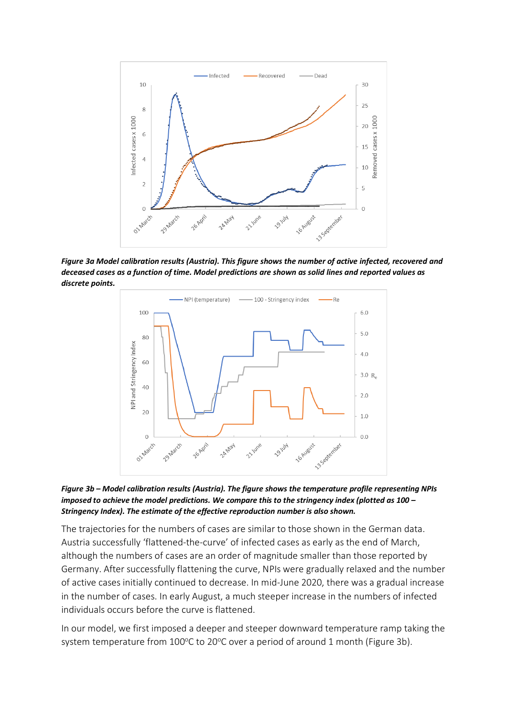

*Figure 3a Model calibration results (Austria). This figure shows the number of active infected, recovered and deceased cases as a function of time. Model predictions are shown as solid lines and reported values as discrete points.*





The trajectories for the numbers of cases are similar to those shown in the German data. Austria successfully 'flattened-the-curve' of infected cases as early as the end of March, although the numbers of cases are an order of magnitude smaller than those reported by Germany. After successfully flattening the curve, NPIs were gradually relaxed and the number of active cases initially continued to decrease. In mid-June 2020, there was a gradual increase in the number of cases. In early August, a much steeper increase in the numbers of infected individuals occurs before the curve is flattened.

In our model, we first imposed a deeper and steeper downward temperature ramp taking the system temperature from  $100^{\circ}$ C to 20 $^{\circ}$ C over a period of around 1 month (Figure 3b).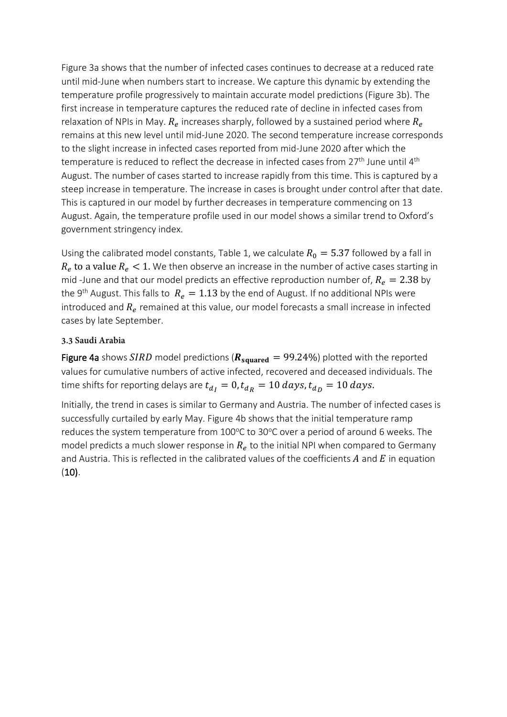Figure 3a shows that the number of infected cases continues to decrease at a reduced rate until mid-June when numbers start to increase. We capture this dynamic by extending the temperature profile progressively to maintain accurate model predictions (Figure 3b). The first increase in temperature captures the reduced rate of decline in infected cases from relaxation of NPIs in May.  $R_e$  increases sharply, followed by a sustained period where  $R_e$ remains at this new level until mid-June 2020. The second temperature increase corresponds to the slight increase in infected cases reported from mid-June 2020 after which the temperature is reduced to reflect the decrease in infected cases from 27<sup>th</sup> June until 4<sup>th</sup> August. The number of cases started to increase rapidly from this time. This is captured by a steep increase in temperature. The increase in cases is brought under control after that date. This is captured in our model by further decreases in temperature commencing on 13 August. Again, the temperature profile used in our model shows a similar trend to Oxford's government stringency index.

Using the calibrated model constants, Table 1, we calculate  $R_0 = 5.37$  followed by a fall in  $R_e$  to a value  $R_e < 1$ . We then observe an increase in the number of active cases starting in mid -June and that our model predicts an effective reproduction number of,  $R_e = 2.38$  by the 9<sup>th</sup> August. This falls to  $R_e = 1.13$  by the end of August. If no additional NPIs were introduced and  $R_e$  remained at this value, our model forecasts a small increase in infected cases by late September.

#### **3.3 Saudi Arabia**

Figure 4a shows SIRD model predictions ( $R_{squared} = 99.24\%$ ) plotted with the reported values for cumulative numbers of active infected, recovered and deceased individuals. The time shifts for reporting delays are  $t_{d_1} = 0$ ,  $t_{d_R} = 10$  days,  $t_{d_R} = 10$  days.

Initially, the trend in cases is similar to Germany and Austria. The number of infected cases is successfully curtailed by early May. Figure 4b shows that the initial temperature ramp reduces the system temperature from 100°C to 30°C over a period of around 6 weeks. The model predicts a much slower response in  $R<sub>e</sub>$  to the initial NPI when compared to Germany and Austria. This is reflected in the calibrated values of the coefficients  $A$  and  $E$  in equation  $(10).$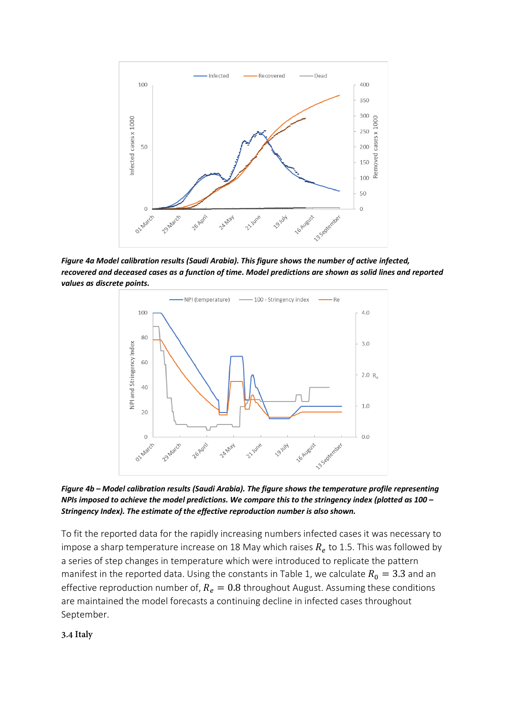

*Figure 4a Model calibration results (Saudi Arabia). This figure shows the number of active infected, recovered and deceased cases as a function of time. Model predictions are shown as solid lines and reported values as discrete points.*



*Figure 4b – Model calibration results (Saudi Arabia). The figure shows the temperature profile representing NPIs imposed to achieve the model predictions. We compare this to the stringency index (plotted as 100 – Stringency Index). The estimate of the effective reproduction number is also shown.*

To fit the reported data for the rapidly increasing numbers infected cases it was necessary to impose a sharp temperature increase on 18 May which raises  $R_e$  to 1.5. This was followed by a series of step changes in temperature which were introduced to replicate the pattern manifest in the reported data. Using the constants in Table 1, we calculate  $R_0 = 3.3$  and an effective reproduction number of,  $R_e = 0.8$  throughout August. Assuming these conditions are maintained the model forecasts a continuing decline in infected cases throughout September.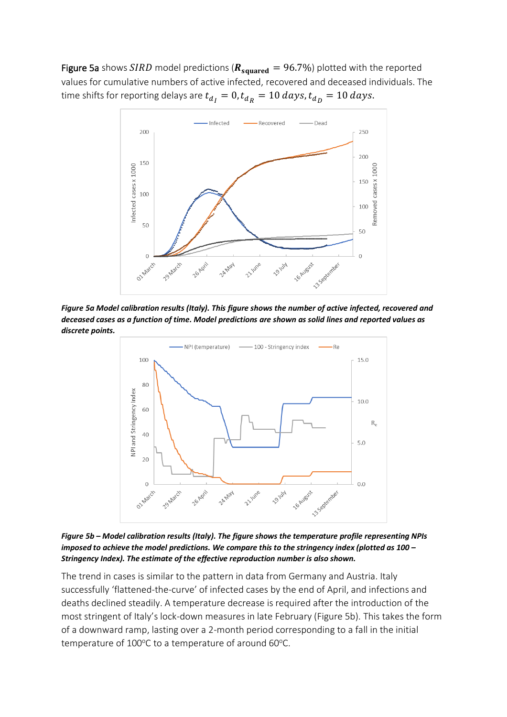Figure 5a shows SIRD model predictions ( $R_{squared} = 96.7\%$ ) plotted with the reported values for cumulative numbers of active infected, recovered and deceased individuals. The time shifts for reporting delays are  $t_{d_I} = 0$ ,  $t_{d_R} = 10$  days,  $t_{d_D} = 10$  days.



*Figure 5a Model calibration results (Italy). This figure shows the number of active infected, recovered and deceased cases as a function of time. Model predictions are shown as solid lines and reported values as discrete points.*



*Figure 5b – Model calibration results (Italy). The figure shows the temperature profile representing NPIs imposed to achieve the model predictions. We compare this to the stringency index (plotted as 100 – Stringency Index). The estimate of the effective reproduction number is also shown.*

The trend in cases is similar to the pattern in data from Germany and Austria. Italy successfully 'flattened-the-curve' of infected cases by the end of April, and infections and deaths declined steadily. A temperature decrease is required after the introduction of the most stringent of Italy's lock-down measures in late February (Figure 5b). This takes the form of a downward ramp, lasting over a 2-month period corresponding to a fall in the initial temperature of 100°C to a temperature of around 60°C.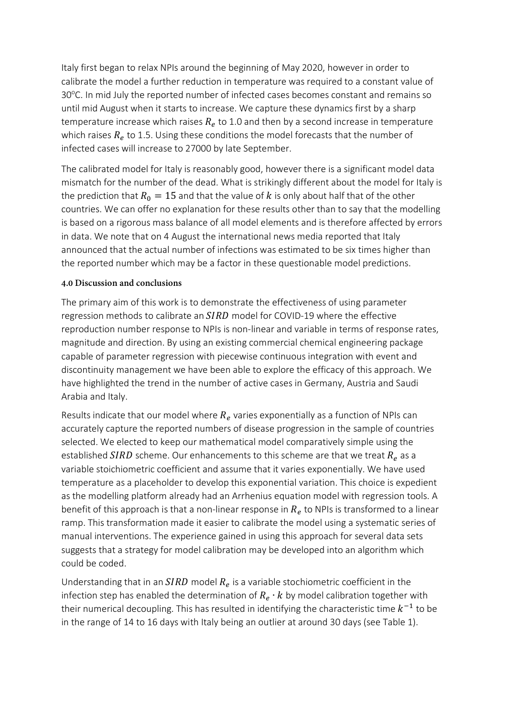Italy first began to relax NPIs around the beginning of May 2020, however in order to calibrate the model a further reduction in temperature was required to a constant value of 30°C. In mid July the reported number of infected cases becomes constant and remains so until mid August when it starts to increase. We capture these dynamics first by a sharp temperature increase which raises  $R_e$  to 1.0 and then by a second increase in temperature which raises  $R_e$  to 1.5. Using these conditions the model forecasts that the number of infected cases will increase to 27000 by late September.

The calibrated model for Italy is reasonably good, however there is a significant model data mismatch for the number of the dead. What is strikingly different about the model for Italy is the prediction that  $R_0 = 15$  and that the value of k is only about half that of the other countries. We can offer no explanation for these results other than to say that the modelling is based on a rigorous mass balance of all model elements and is therefore affected by errors in data. We note that on 4 August the international news media reported that Italy announced that the actual number of infections was estimated to be six times higher than the reported number which may be a factor in these questionable model predictions.

#### **4.0 Discussion and conclusions**

The primary aim of this work is to demonstrate the effectiveness of using parameter regression methods to calibrate an  $SIRD$  model for COVID-19 where the effective reproduction number response to NPIs is non-linear and variable in terms of response rates, magnitude and direction. By using an existing commercial chemical engineering package capable of parameter regression with piecewise continuous integration with event and discontinuity management we have been able to explore the efficacy of this approach. We have highlighted the trend in the number of active cases in Germany, Austria and Saudi Arabia and Italy.

Results indicate that our model where  $R_e$  varies exponentially as a function of NPIs can accurately capture the reported numbers of disease progression in the sample of countries selected. We elected to keep our mathematical model comparatively simple using the established SIRD scheme. Our enhancements to this scheme are that we treat  $R_e$  as a variable stoichiometric coefficient and assume that it varies exponentially. We have used temperature as a placeholder to develop this exponential variation. This choice is expedient as the modelling platform already had an Arrhenius equation model with regression tools. A benefit of this approach is that a non-linear response in  $R_e$  to NPIs is transformed to a linear ramp. This transformation made it easier to calibrate the model using a systematic series of manual interventions. The experience gained in using this approach for several data sets suggests that a strategy for model calibration may be developed into an algorithm which could be coded.

Understanding that in an  $SIRD$  model  $R_e$  is a variable stochiometric coefficient in the infection step has enabled the determination of  $R_e \cdot k$  by model calibration together with their numerical decoupling. This has resulted in identifying the characteristic time  $k^{-1}$  to be in the range of 14 to 16 days with Italy being an outlier at around 30 days (see Table 1).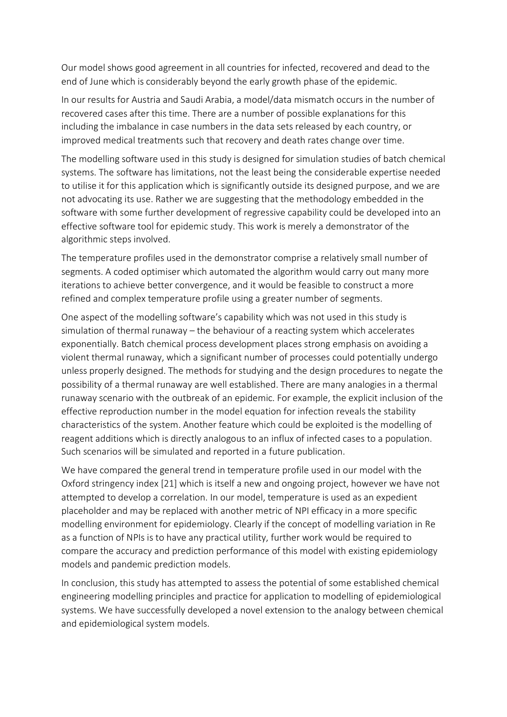Our model shows good agreement in all countries for infected, recovered and dead to the end of June which is considerably beyond the early growth phase of the epidemic.

In our results for Austria and Saudi Arabia, a model/data mismatch occurs in the number of recovered cases after this time. There are a number of possible explanations for this including the imbalance in case numbers in the data sets released by each country, or improved medical treatments such that recovery and death rates change over time.

The modelling software used in this study is designed for simulation studies of batch chemical systems. The software has limitations, not the least being the considerable expertise needed to utilise it for this application which is significantly outside its designed purpose, and we are not advocating its use. Rather we are suggesting that the methodology embedded in the software with some further development of regressive capability could be developed into an effective software tool for epidemic study. This work is merely a demonstrator of the algorithmic steps involved.

The temperature profiles used in the demonstrator comprise a relatively small number of segments. A coded optimiser which automated the algorithm would carry out many more iterations to achieve better convergence, and it would be feasible to construct a more refined and complex temperature profile using a greater number of segments.

One aspect of the modelling software's capability which was not used in this study is simulation of thermal runaway – the behaviour of a reacting system which accelerates exponentially. Batch chemical process development places strong emphasis on avoiding a violent thermal runaway, which a significant number of processes could potentially undergo unless properly designed. The methods for studying and the design procedures to negate the possibility of a thermal runaway are well established. There are many analogies in a thermal runaway scenario with the outbreak of an epidemic. For example, the explicit inclusion of the effective reproduction number in the model equation for infection reveals the stability characteristics of the system. Another feature which could be exploited is the modelling of reagent additions which is directly analogous to an influx of infected cases to a population. Such scenarios will be simulated and reported in a future publication.

We have compared the general trend in temperature profile used in our model with the Oxford stringency index [21] which is itself a new and ongoing project, however we have not attempted to develop a correlation. In our model, temperature is used as an expedient placeholder and may be replaced with another metric of NPI efficacy in a more specific modelling environment for epidemiology. Clearly if the concept of modelling variation in Re as a function of NPIs is to have any practical utility, further work would be required to compare the accuracy and prediction performance of this model with existing epidemiology models and pandemic prediction models.

In conclusion, this study has attempted to assess the potential of some established chemical engineering modelling principles and practice for application to modelling of epidemiological systems. We have successfully developed a novel extension to the analogy between chemical and epidemiological system models.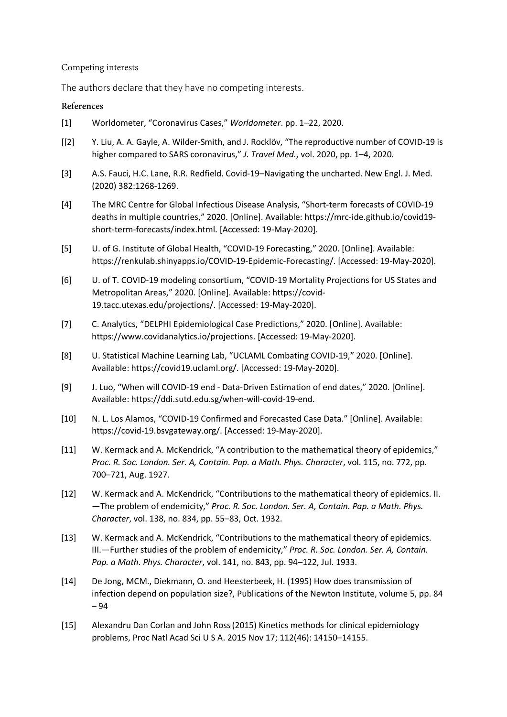#### Competing interests

The authors declare that they have no competing interests.

#### **References**

- [1] Worldometer, "Coronavirus Cases," *Worldometer*. pp. 1–22, 2020.
- [[2] Y. Liu, A. A. Gayle, A. Wilder-Smith, and J. Rocklöv, "The reproductive number of COVID-19 is higher compared to SARS coronavirus," *J. Travel Med.*, vol. 2020, pp. 1–4, 2020.
- [3] A.S. Fauci, H.C. Lane, R.R. Redfield. Covid-19–Navigating the uncharted. New Engl. J. Med. (2020) 382:1268-1269.
- [4] The MRC Centre for Global Infectious Disease Analysis, "Short-term forecasts of COVID-19 deaths in multiple countries," 2020. [Online]. Available: https://mrc-ide.github.io/covid19 short-term-forecasts/index.html. [Accessed: 19-May-2020].
- [5] U. of G. Institute of Global Health, "COVID-19 Forecasting," 2020. [Online]. Available: https://renkulab.shinyapps.io/COVID-19-Epidemic-Forecasting/. [Accessed: 19-May-2020].
- [6] U. of T. COVID-19 modeling consortium, "COVID-19 Mortality Projections for US States and Metropolitan Areas," 2020. [Online]. Available: https://covid-19.tacc.utexas.edu/projections/. [Accessed: 19-May-2020].
- [7] C. Analytics, "DELPHI Epidemiological Case Predictions," 2020. [Online]. Available: https://www.covidanalytics.io/projections. [Accessed: 19-May-2020].
- [8] U. Statistical Machine Learning Lab, "UCLAML Combating COVID-19," 2020. [Online]. Available: https://covid19.uclaml.org/. [Accessed: 19-May-2020].
- [9] J. Luo, "When will COVID-19 end Data-Driven Estimation of end dates," 2020. [Online]. Available: https://ddi.sutd.edu.sg/when-will-covid-19-end.
- [10] N. L. Los Alamos, "COVID-19 Confirmed and Forecasted Case Data." [Online]. Available: https://covid-19.bsvgateway.org/. [Accessed: 19-May-2020].
- [11] W. Kermack and A. McKendrick, "A contribution to the mathematical theory of epidemics," *Proc. R. Soc. London. Ser. A, Contain. Pap. a Math. Phys. Character*, vol. 115, no. 772, pp. 700–721, Aug. 1927.
- [12] W. Kermack and A. McKendrick, "Contributions to the mathematical theory of epidemics. II. —The problem of endemicity," *Proc. R. Soc. London. Ser. A, Contain. Pap. a Math. Phys. Character*, vol. 138, no. 834, pp. 55–83, Oct. 1932.
- [13] W. Kermack and A. McKendrick, "Contributions to the mathematical theory of epidemics. III.—Further studies of the problem of endemicity," *Proc. R. Soc. London. Ser. A, Contain. Pap. a Math. Phys. Character*, vol. 141, no. 843, pp. 94–122, Jul. 1933.
- [14] De Jong, MCM., Diekmann, O. and Heesterbeek, H. (1995) How does transmission of infection depend on population size?, Publications of the Newton Institute, volume 5, pp. 84 – 94
- [15] [Alexandru Dan Corlan](https://www.ncbi.nlm.nih.gov/pubmed/?term=Corlan%20AD%5BAuthor%5D&cauthor=true&cauthor_uid=26578757) and [John Ross\(](https://www.ncbi.nlm.nih.gov/pubmed/?term=Ross%20J%5BAuthor%5D&cauthor=true&cauthor_uid=26578757)2015) Kinetics methods for clinical epidemiology problems[, Proc Natl Acad Sci U S A.](https://www.ncbi.nlm.nih.gov/pmc/articles/PMC4655575/) 2015 Nov 17; 112(46): 14150–14155.